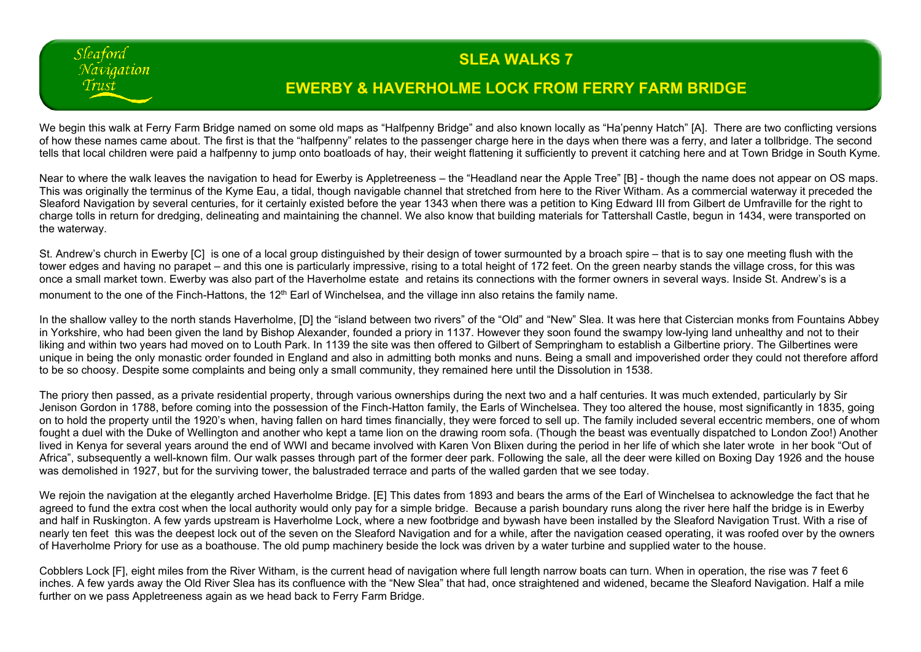## **SLEA WALKS 7**

## **EWERBY & HAVERHOLME LOCK FROM FERRY FARM BRIDGE**

We begin this walk at Ferry Farm Bridge named on some old maps as "Halfpenny Bridge" and also known locally as "Ha'penny Hatch" [A]. There are two conflicting versions of how these names came about. The first is that the "halfpenny" relates to the passenger charge here in the days when there was a ferry, and later a tollbridge. The second tells that local children were paid a halfpenny to jump onto boatloads of hay, their weight flattening it sufficiently to prevent it catching here and at Town Bridge in South Kyme.

Sleaford Navigation Trust

Near to where the walk leaves the navigation to head for Ewerby is Appletreeness – the "Headland near the Apple Tree" [B] - though the name does not appear on OS maps. This was originally the terminus of the Kyme Eau, a tidal, though navigable channel that stretched from here to the River Witham. As a commercial waterway it preceded the Sleaford Navigation by several centuries, for it certainly existed before the year 1343 when there was a petition to King Edward III from Gilbert de Umfraville for the right to charge tolls in return for dredging, delineating and maintaining the channel. We also know that building materials for Tattershall Castle, begun in 1434, were transported on the waterway.

St. Andrew's church in Ewerby [C] is one of a local group distinguished by their design of tower surmounted by a broach spire – that is to say one meeting flush with the tower edges and having no parapet – and this one is particularly impressive, rising to a total height of 172 feet. On the green nearby stands the village cross, for this was once a small market town. Ewerby was also part of the Haverholme estate and retains its connections with the former owners in several ways. Inside St. Andrew's is a monument to the one of the Finch-Hattons, the 12<sup>th</sup> Earl of Winchelsea, and the village inn also retains the family name.

In the shallow valley to the north stands Haverholme, [D] the "island between two rivers" of the "Old" and "New" Slea. It was here that Cistercian monks from Fountains Abbey in Yorkshire, who had been given the land by Bishop Alexander, founded a priory in 1137. However they soon found the swampy low-lying land unhealthy and not to their liking and within two years had moved on to Louth Park. In 1139 the site was then offered to Gilbert of Sempringham to establish a Gilbertine priory. The Gilbertines were unique in being the only monastic order founded in England and also in admitting both monks and nuns. Being a small and impoverished order they could not therefore afford to be so choosy. Despite some complaints and being only a small community, they remained here until the Dissolution in 1538.

The priory then passed, as a private residential property, through various ownerships during the next two and a half centuries. It was much extended, particularly by Sir Jenison Gordon in 1788, before coming into the possession of the Finch-Hatton family, the Earls of Winchelsea. They too altered the house, most significantly in 1835, going on to hold the property until the 1920's when, having fallen on hard times financially, they were forced to sell up. The family included several eccentric members, one of whom fought a duel with the Duke of Wellington and another who kept a tame lion on the drawing room sofa. (Though the beast was eventually dispatched to London Zoo!) Another lived in Kenya for several years around the end of WWI and became involved with Karen Von Blixen during the period in her life of which she later wrote in her book "Out of Africa", subsequently a well-known film. Our walk passes through part of the former deer park. Following the sale, all the deer were killed on Boxing Day 1926 and the house was demolished in 1927, but for the surviving tower, the balustraded terrace and parts of the walled garden that we see today.

We rejoin the navigation at the elegantly arched Haverholme Bridge. [E] This dates from 1893 and bears the arms of the Earl of Winchelsea to acknowledge the fact that he agreed to fund the extra cost when the local authority would only pay for a simple bridge. Because a parish boundary runs along the river here half the bridge is in Ewerby and half in Ruskington. A few yards upstream is Haverholme Lock, where a new footbridge and bywash have been installed by the Sleaford Navigation Trust. With a rise of nearly ten feet this was the deepest lock out of the seven on the Sleaford Navigation and for a while, after the navigation ceased operating, it was roofed over by the owners of Haverholme Priory for use as a boathouse. The old pump machinery beside the lock was driven by a water turbine and supplied water to the house.

Cobblers Lock [F], eight miles from the River Witham, is the current head of navigation where full length narrow boats can turn. When in operation, the rise was 7 feet 6 inches. A few yards away the Old River Slea has its confluence with the "New Slea" that had, once straightened and widened, became the Sleaford Navigation. Half a mile further on we pass Appletreeness again as we head back to Ferry Farm Bridge.